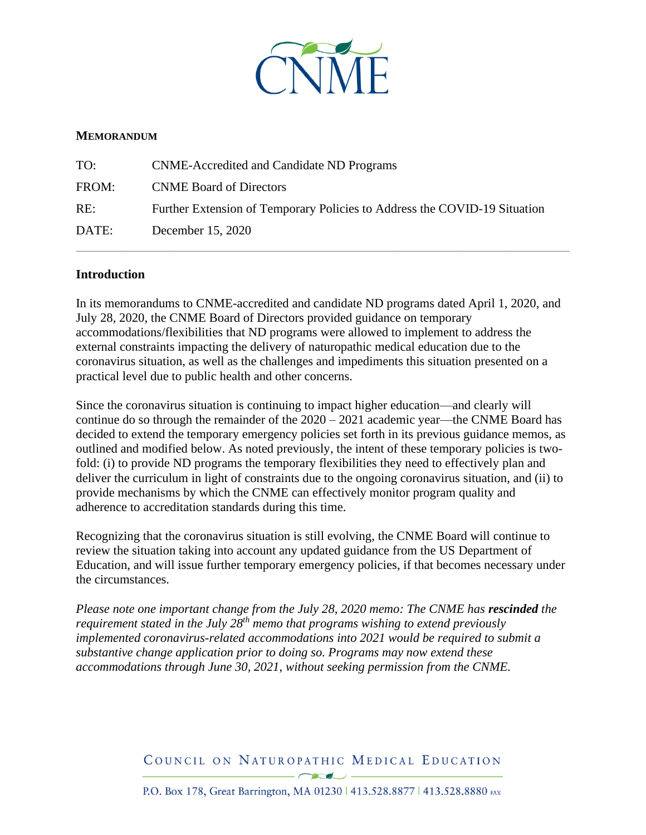

#### **MEMORANDUM**

| TO:   | <b>CNME-Accredited and Candidate ND Programs</b>                          |
|-------|---------------------------------------------------------------------------|
| FROM: | <b>CNME Board of Directors</b>                                            |
| RE:   | Further Extension of Temporary Policies to Address the COVID-19 Situation |
| DATE: | December 15, 2020                                                         |

#### **Introduction**

In its memorandums to CNME-accredited and candidate ND programs dated April 1, 2020, and July 28, 2020, the CNME Board of Directors provided guidance on temporary accommodations/flexibilities that ND programs were allowed to implement to address the external constraints impacting the delivery of naturopathic medical education due to the coronavirus situation, as well as the challenges and impediments this situation presented on a practical level due to public health and other concerns.

\_\_\_\_\_\_\_\_\_\_\_\_\_\_\_\_\_\_\_\_\_\_\_\_\_\_\_\_\_\_\_\_\_\_\_\_\_\_\_\_\_\_\_\_\_\_\_\_\_\_\_\_\_\_\_\_\_\_\_\_\_\_\_\_\_\_\_\_\_\_\_\_\_\_\_\_\_\_\_\_\_\_\_\_\_\_\_\_\_\_\_\_\_\_\_\_\_\_\_\_\_\_\_\_\_\_\_\_\_\_\_\_\_\_\_\_\_\_\_\_\_\_\_\_\_\_\_\_\_\_\_\_\_\_\_\_\_\_\_\_\_\_\_\_\_\_\_\_\_\_\_\_\_\_\_\_

Since the coronavirus situation is continuing to impact higher education—and clearly will continue do so through the remainder of the 2020 – 2021 academic year—the CNME Board has decided to extend the temporary emergency policies set forth in its previous guidance memos, as outlined and modified below. As noted previously, the intent of these temporary policies is twofold: (i) to provide ND programs the temporary flexibilities they need to effectively plan and deliver the curriculum in light of constraints due to the ongoing coronavirus situation, and (ii) to provide mechanisms by which the CNME can effectively monitor program quality and adherence to accreditation standards during this time.

Recognizing that the coronavirus situation is still evolving, the CNME Board will continue to review the situation taking into account any updated guidance from the US Department of Education, and will issue further temporary emergency policies, if that becomes necessary under the circumstances.

*Please note one important change from the July 28, 2020 memo: The CNME has rescinded the requirement stated in the July 28th memo that programs wishing to extend previously implemented coronavirus-related accommodations into 2021 would be required to submit a substantive change application prior to doing so. Programs may now extend these accommodations through June 30, 2021, without seeking permission from the CNME.* 

> COUNCIL ON NATUROPATHIC MEDICAL EDUCATION  $-\sqrt{2}$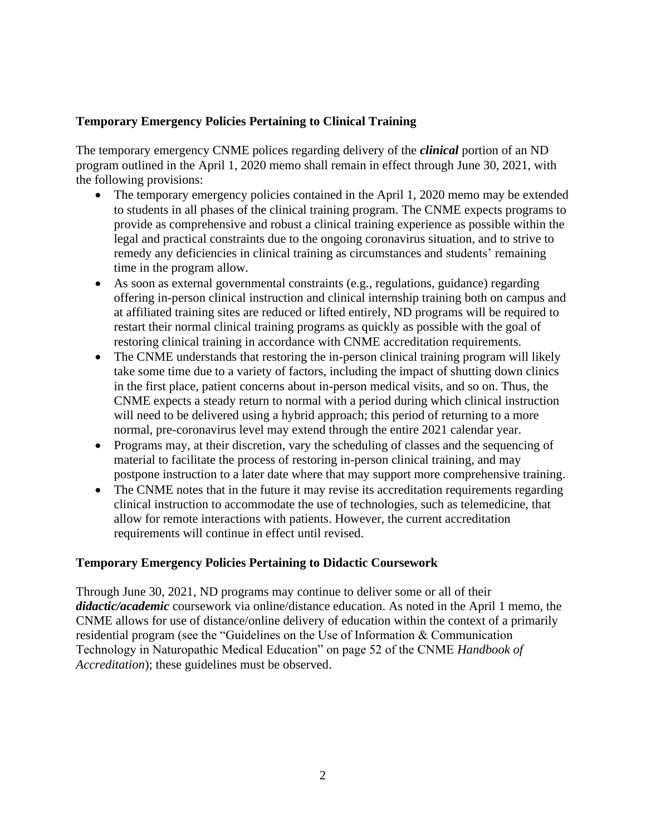## **Temporary Emergency Policies Pertaining to Clinical Training**

The temporary emergency CNME polices regarding delivery of the *clinical* portion of an ND program outlined in the April 1, 2020 memo shall remain in effect through June 30, 2021, with the following provisions:

- The temporary emergency policies contained in the April 1, 2020 memo may be extended to students in all phases of the clinical training program. The CNME expects programs to provide as comprehensive and robust a clinical training experience as possible within the legal and practical constraints due to the ongoing coronavirus situation, and to strive to remedy any deficiencies in clinical training as circumstances and students' remaining time in the program allow.
- As soon as external governmental constraints (e.g., regulations, guidance) regarding offering in-person clinical instruction and clinical internship training both on campus and at affiliated training sites are reduced or lifted entirely, ND programs will be required to restart their normal clinical training programs as quickly as possible with the goal of restoring clinical training in accordance with CNME accreditation requirements.
- The CNME understands that restoring the in-person clinical training program will likely take some time due to a variety of factors, including the impact of shutting down clinics in the first place, patient concerns about in-person medical visits, and so on. Thus, the CNME expects a steady return to normal with a period during which clinical instruction will need to be delivered using a hybrid approach; this period of returning to a more normal, pre-coronavirus level may extend through the entire 2021 calendar year.
- Programs may, at their discretion, vary the scheduling of classes and the sequencing of material to facilitate the process of restoring in-person clinical training, and may postpone instruction to a later date where that may support more comprehensive training.
- The CNME notes that in the future it may revise its accreditation requirements regarding clinical instruction to accommodate the use of technologies, such as telemedicine, that allow for remote interactions with patients. However, the current accreditation requirements will continue in effect until revised.

### **Temporary Emergency Policies Pertaining to Didactic Coursework**

Through June 30, 2021, ND programs may continue to deliver some or all of their *didactic/academic* coursework via online/distance education. As noted in the April 1 memo, the CNME allows for use of distance/online delivery of education within the context of a primarily residential program (see the "Guidelines on the Use of Information & Communication Technology in Naturopathic Medical Education" on page 52 of the CNME *Handbook of Accreditation*); these guidelines must be observed.